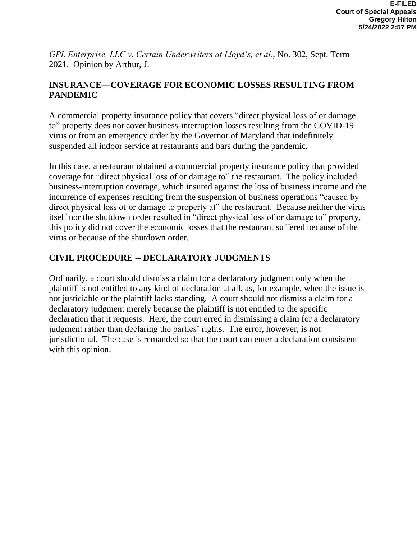*GPL Enterprise, LLC v. Certain Underwriters at Lloyd's, et al.*, No. 302, Sept. Term 2021. Opinion by Arthur, J.

## **INSURANCE—COVERAGE FOR ECONOMIC LOSSES RESULTING FROM PANDEMIC**

A commercial property insurance policy that covers "direct physical loss of or damage to" property does not cover business-interruption losses resulting from the COVID-19 virus or from an emergency order by the Governor of Maryland that indefinitely suspended all indoor service at restaurants and bars during the pandemic.

In this case, a restaurant obtained a commercial property insurance policy that provided coverage for "direct physical loss of or damage to" the restaurant. The policy included business-interruption coverage, which insured against the loss of business income and the incurrence of expenses resulting from the suspension of business operations "caused by direct physical loss of or damage to property at" the restaurant. Because neither the virus itself nor the shutdown order resulted in "direct physical loss of or damage to" property, this policy did not cover the economic losses that the restaurant suffered because of the virus or because of the shutdown order.

# **CIVIL PROCEDURE -- DECLARATORY JUDGMENTS**

Ordinarily, a court should dismiss a claim for a declaratory judgment only when the plaintiff is not entitled to any kind of declaration at all, as, for example, when the issue is not justiciable or the plaintiff lacks standing. A court should not dismiss a claim for a declaratory judgment merely because the plaintiff is not entitled to the specific declaration that it requests. Here, the court erred in dismissing a claim for a declaratory judgment rather than declaring the parties' rights. The error, however, is not jurisdictional. The case is remanded so that the court can enter a declaration consistent with this opinion.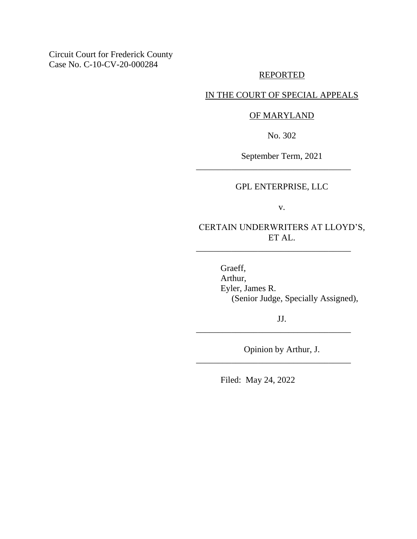Circuit Court for Frederick County Case No. C-10-CV-20-000284

## REPORTED

## IN THE COURT OF SPECIAL APPEALS

## OF MARYLAND

No. 302

September Term, 2021

\_\_\_\_\_\_\_\_\_\_\_\_\_\_\_\_\_\_\_\_\_\_\_\_\_\_\_\_\_\_\_\_\_\_\_

## GPL ENTERPRISE, LLC

v.

CERTAIN UNDERWRITERS AT LLOYD'S, ET AL.

\_\_\_\_\_\_\_\_\_\_\_\_\_\_\_\_\_\_\_\_\_\_\_\_\_\_\_\_\_\_\_\_\_\_\_

Graeff, Arthur, Eyler, James R. (Senior Judge, Specially Assigned),

JJ.

\_\_\_\_\_\_\_\_\_\_\_\_\_\_\_\_\_\_\_\_\_\_\_\_\_\_\_\_\_\_\_\_\_\_\_

\_\_\_\_\_\_\_\_\_\_\_\_\_\_\_\_\_\_\_\_\_\_\_\_\_\_\_\_\_\_\_\_\_\_\_

Opinion by Arthur, J.

Filed: May 24, 2022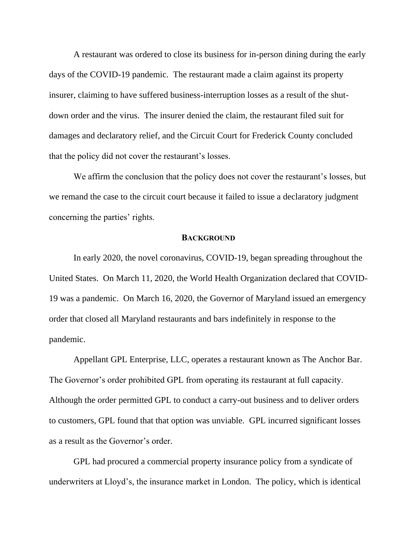A restaurant was ordered to close its business for in-person dining during the early days of the COVID-19 pandemic. The restaurant made a claim against its property insurer, claiming to have suffered business-interruption losses as a result of the shutdown order and the virus. The insurer denied the claim, the restaurant filed suit for damages and declaratory relief, and the Circuit Court for Frederick County concluded that the policy did not cover the restaurant's losses.

We affirm the conclusion that the policy does not cover the restaurant's losses, but we remand the case to the circuit court because it failed to issue a declaratory judgment concerning the parties' rights.

#### **BACKGROUND**

In early 2020, the novel coronavirus, COVID-19, began spreading throughout the United States. On March 11, 2020, the World Health Organization declared that COVID-19 was a pandemic. On March 16, 2020, the Governor of Maryland issued an emergency order that closed all Maryland restaurants and bars indefinitely in response to the pandemic.

Appellant GPL Enterprise, LLC, operates a restaurant known as The Anchor Bar. The Governor's order prohibited GPL from operating its restaurant at full capacity. Although the order permitted GPL to conduct a carry-out business and to deliver orders to customers, GPL found that that option was unviable. GPL incurred significant losses as a result as the Governor's order.

GPL had procured a commercial property insurance policy from a syndicate of underwriters at Lloyd's, the insurance market in London. The policy, which is identical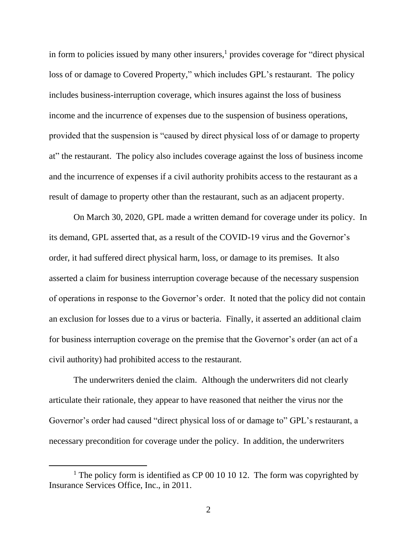in form to policies issued by many other insurers, $<sup>1</sup>$  provides coverage for "direct physical</sup> loss of or damage to Covered Property," which includes GPL's restaurant. The policy includes business-interruption coverage, which insures against the loss of business income and the incurrence of expenses due to the suspension of business operations, provided that the suspension is "caused by direct physical loss of or damage to property at" the restaurant. The policy also includes coverage against the loss of business income and the incurrence of expenses if a civil authority prohibits access to the restaurant as a result of damage to property other than the restaurant, such as an adjacent property.

On March 30, 2020, GPL made a written demand for coverage under its policy. In its demand, GPL asserted that, as a result of the COVID-19 virus and the Governor's order, it had suffered direct physical harm, loss, or damage to its premises. It also asserted a claim for business interruption coverage because of the necessary suspension of operations in response to the Governor's order. It noted that the policy did not contain an exclusion for losses due to a virus or bacteria. Finally, it asserted an additional claim for business interruption coverage on the premise that the Governor's order (an act of a civil authority) had prohibited access to the restaurant.

The underwriters denied the claim. Although the underwriters did not clearly articulate their rationale, they appear to have reasoned that neither the virus nor the Governor's order had caused "direct physical loss of or damage to" GPL's restaurant, a necessary precondition for coverage under the policy. In addition, the underwriters

<sup>&</sup>lt;sup>1</sup> The policy form is identified as CP 00 10 10 12. The form was copyrighted by Insurance Services Office, Inc., in 2011.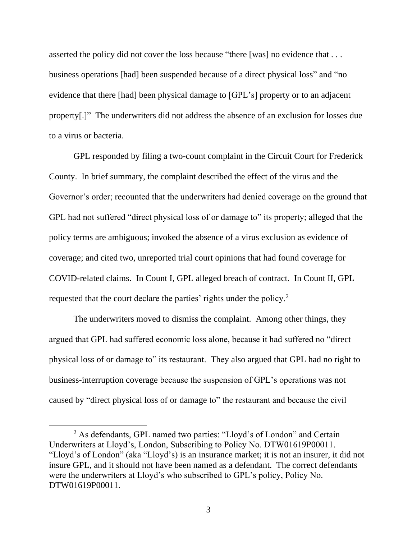asserted the policy did not cover the loss because "there [was] no evidence that . . . business operations [had] been suspended because of a direct physical loss" and "no evidence that there [had] been physical damage to [GPL's] property or to an adjacent property[.]" The underwriters did not address the absence of an exclusion for losses due to a virus or bacteria.

GPL responded by filing a two-count complaint in the Circuit Court for Frederick County. In brief summary, the complaint described the effect of the virus and the Governor's order; recounted that the underwriters had denied coverage on the ground that GPL had not suffered "direct physical loss of or damage to" its property; alleged that the policy terms are ambiguous; invoked the absence of a virus exclusion as evidence of coverage; and cited two, unreported trial court opinions that had found coverage for COVID-related claims. In Count I, GPL alleged breach of contract. In Count II, GPL requested that the court declare the parties' rights under the policy.<sup>2</sup>

The underwriters moved to dismiss the complaint. Among other things, they argued that GPL had suffered economic loss alone, because it had suffered no "direct physical loss of or damage to" its restaurant. They also argued that GPL had no right to business-interruption coverage because the suspension of GPL's operations was not caused by "direct physical loss of or damage to" the restaurant and because the civil

<sup>2</sup> As defendants, GPL named two parties: "Lloyd's of London" and Certain Underwriters at Lloyd's, London, Subscribing to Policy No. DTW01619P00011. "Lloyd's of London" (aka "Lloyd's) is an insurance market; it is not an insurer, it did not insure GPL, and it should not have been named as a defendant. The correct defendants were the underwriters at Lloyd's who subscribed to GPL's policy, Policy No. DTW01619P00011.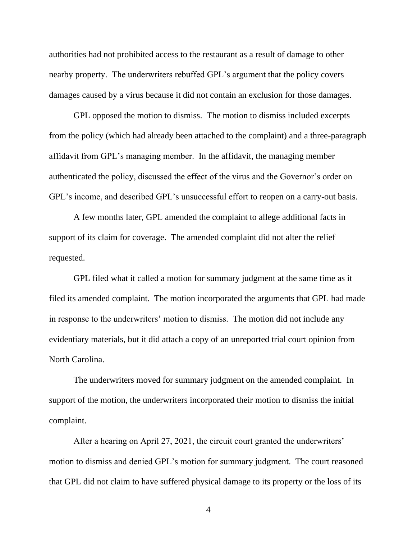authorities had not prohibited access to the restaurant as a result of damage to other nearby property. The underwriters rebuffed GPL's argument that the policy covers damages caused by a virus because it did not contain an exclusion for those damages.

GPL opposed the motion to dismiss. The motion to dismiss included excerpts from the policy (which had already been attached to the complaint) and a three-paragraph affidavit from GPL's managing member. In the affidavit, the managing member authenticated the policy, discussed the effect of the virus and the Governor's order on GPL's income, and described GPL's unsuccessful effort to reopen on a carry-out basis.

A few months later, GPL amended the complaint to allege additional facts in support of its claim for coverage. The amended complaint did not alter the relief requested.

GPL filed what it called a motion for summary judgment at the same time as it filed its amended complaint. The motion incorporated the arguments that GPL had made in response to the underwriters' motion to dismiss. The motion did not include any evidentiary materials, but it did attach a copy of an unreported trial court opinion from North Carolina.

The underwriters moved for summary judgment on the amended complaint. In support of the motion, the underwriters incorporated their motion to dismiss the initial complaint.

After a hearing on April 27, 2021, the circuit court granted the underwriters' motion to dismiss and denied GPL's motion for summary judgment. The court reasoned that GPL did not claim to have suffered physical damage to its property or the loss of its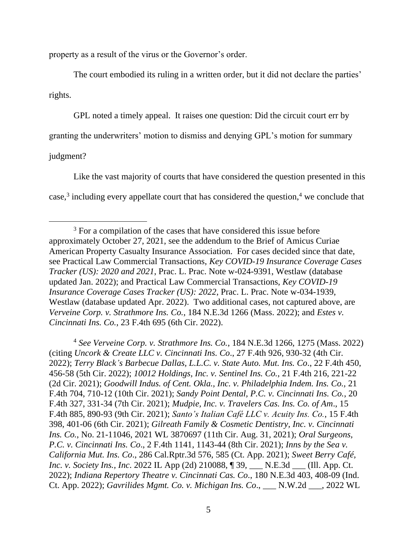property as a result of the virus or the Governor's order.

The court embodied its ruling in a written order, but it did not declare the parties' rights.

GPL noted a timely appeal. It raises one question: Did the circuit court err by

granting the underwriters' motion to dismiss and denying GPL's motion for summary

judgment?

Like the vast majority of courts that have considered the question presented in this case,<sup>3</sup> including every appellate court that has considered the question,<sup>4</sup> we conclude that

<sup>4</sup> *See Verveine Corp. v. Strathmore Ins. Co.*, 184 N.E.3d 1266, 1275 (Mass. 2022) (citing *Uncork & Create LLC v. Cincinnati Ins. Co*., 27 F.4th 926, 930-32 (4th Cir. 2022); *Terry Black's Barbecue Dallas, L.L.C. v. State Auto. Mut. Ins. Co*., 22 F.4th 450, 456-58 (5th Cir. 2022); *10012 Holdings, Inc. v. Sentinel Ins. Co.*, 21 F.4th 216, 221-22 (2d Cir. 2021); *Goodwill Indus. of Cent. Okla., Inc. v. Philadelphia Indem. Ins. Co.,* 21 F.4th 704, 710-12 (10th Cir. 2021); *Sandy Point Dental, P.C. v. Cincinnati Ins. Co.*, 20 F.4th 327, 331-34 (7th Cir. 2021); *Mudpie, Inc. v. Travelers Cas. Ins. Co. of Am*., 15 F.4th 885, 890-93 (9th Cir. 2021); *Santo's Italian Café LLC v. Acuity Ins. Co.*, 15 F.4th 398, 401-06 (6th Cir. 2021); *Gilreath Family & Cosmetic Dentistry, Inc. v. Cincinnati Ins. Co.*, No. 21-11046, 2021 WL 3870697 (11th Cir. Aug. 31, 2021); *Oral Surgeons, P.C. v. Cincinnati Ins. Co*., 2 F.4th 1141, 1143-44 (8th Cir. 2021); *Inns by the Sea v. California Mut. Ins. Co*., 286 Cal.Rptr.3d 576, 585 (Ct. App. 2021); *Sweet Berry Café, Inc. v. Society Ins., Inc*. 2022 IL App (2d) 210088, ¶ 39, \_\_\_ N.E.3d \_\_\_ (Ill. App. Ct. 2022); *Indiana Repertory Theatre v. Cincinnati Cas. Co*., 180 N.E.3d 403, 408-09 (Ind. Ct. App. 2022); *Gavrilides Mgmt. Co. v. Michigan Ins. Co*., \_\_\_ N.W.2d \_\_\_, 2022 WL

<sup>&</sup>lt;sup>3</sup> For a compilation of the cases that have considered this issue before approximately October 27, 2021, see the addendum to the Brief of Amicus Curiae American Property Casualty Insurance Association. For cases decided since that date, see Practical Law Commercial Transactions, *Key COVID-19 Insurance Coverage Cases Tracker (US): 2020 and 2021*, Prac. L. Prac. Note w-024-9391, Westlaw (database updated Jan. 2022); and Practical Law Commercial Transactions, *Key COVID-19 Insurance Coverage Cases Tracker (US): 2022*, Prac. L. Prac. Note w-034-1939, Westlaw (database updated Apr. 2022). Two additional cases, not captured above, are *Verveine Corp. v. Strathmore Ins. Co.*, 184 N.E.3d 1266 (Mass. 2022); and *Estes v. Cincinnati Ins. Co.*, 23 F.4th 695 (6th Cir. 2022).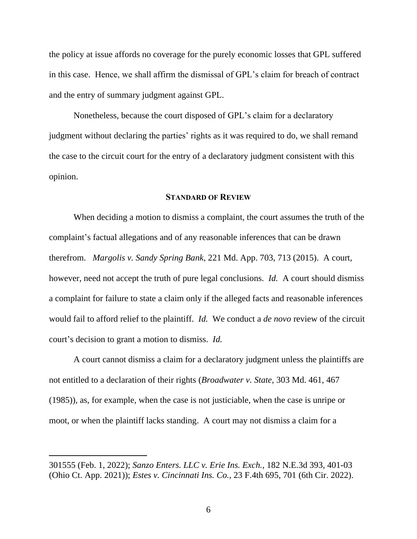the policy at issue affords no coverage for the purely economic losses that GPL suffered in this case. Hence, we shall affirm the dismissal of GPL's claim for breach of contract and the entry of summary judgment against GPL.

Nonetheless, because the court disposed of GPL's claim for a declaratory judgment without declaring the parties' rights as it was required to do, we shall remand the case to the circuit court for the entry of a declaratory judgment consistent with this opinion.

#### **STANDARD OF REVIEW**

When deciding a motion to dismiss a complaint, the court assumes the truth of the complaint's factual allegations and of any reasonable inferences that can be drawn therefrom. *Margolis v. Sandy Spring Bank*, 221 Md. App. 703, 713 (2015). A court, however, need not accept the truth of pure legal conclusions. *Id.* A court should dismiss a complaint for failure to state a claim only if the alleged facts and reasonable inferences would fail to afford relief to the plaintiff. *Id.* We conduct a *de novo* review of the circuit court's decision to grant a motion to dismiss. *Id.*

A court cannot dismiss a claim for a declaratory judgment unless the plaintiffs are not entitled to a declaration of their rights (*Broadwater v. State*, 303 Md. 461, 467 (1985)), as, for example, when the case is not justiciable, when the case is unripe or moot, or when the plaintiff lacks standing. A court may not dismiss a claim for a

<sup>301555 (</sup>Feb. 1, 2022); *Sanzo Enters. LLC v. Erie Ins. Exch.*, 182 N.E.3d 393, 401-03 (Ohio Ct. App. 2021)); *Estes v. Cincinnati Ins. Co.*, 23 F.4th 695, 701 (6th Cir. 2022).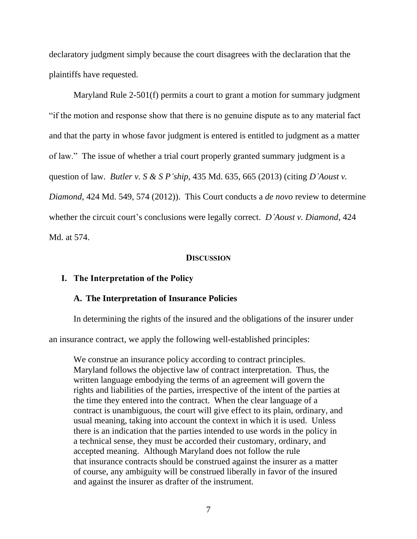declaratory judgment simply because the court disagrees with the declaration that the plaintiffs have requested.

Maryland Rule 2-501(f) permits a court to grant a motion for summary judgment "if the motion and response show that there is no genuine dispute as to any material fact and that the party in whose favor judgment is entered is entitled to judgment as a matter of law." The issue of whether a trial court properly granted summary judgment is a question of law. *Butler v. S & S P'ship*, 435 Md. 635, 665 (2013) (citing *D'Aoust v. Diamond*, 424 Md. 549, 574 (2012)). This Court conducts a *de novo* review to determine whether the circuit court's conclusions were legally correct. *D'Aoust v. Diamond*, 424 Md. at 574.

### **DISCUSSION**

## **I. The Interpretation of the Policy**

#### **A. The Interpretation of Insurance Policies**

In determining the rights of the insured and the obligations of the insurer under

an insurance contract, we apply the following well-established principles:

We construe an insurance policy according to contract principles. Maryland follows the objective law of contract interpretation. Thus, the written language embodying the terms of an agreement will govern the rights and liabilities of the parties, irrespective of the intent of the parties at the time they entered into the contract. When the clear language of a contract is unambiguous, the court will give effect to its plain, ordinary, and usual meaning, taking into account the context in which it is used. Unless there is an indication that the parties intended to use words in the policy in a technical sense, they must be accorded their customary, ordinary, and accepted meaning. Although Maryland does not follow the rule that insurance contracts should be construed against the insurer as a matter of course, any ambiguity will be construed liberally in favor of the insured and against the insurer as drafter of the instrument.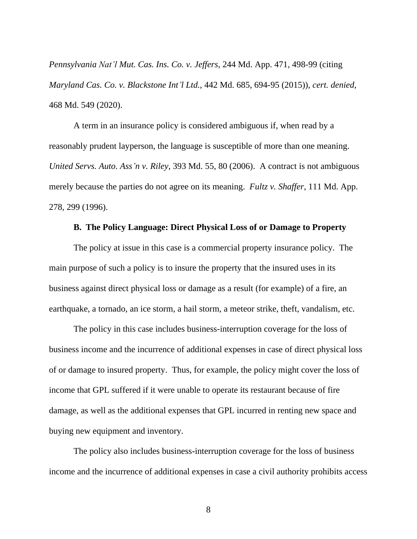*Pennsylvania Nat'l Mut. Cas. Ins. Co. v. Jeffers*, 244 Md. App. 471, 498-99 (citing *Maryland Cas. Co. v. Blackstone Int'l Ltd.*, 442 Md. 685, 694-95 (2015)), *cert. denied*, 468 Md. 549 (2020).

A term in an insurance policy is considered ambiguous if, when read by a reasonably prudent layperson, the language is susceptible of more than one meaning. *United Servs. Auto. Ass'n v. Riley*, 393 Md. 55, 80 (2006). A contract is not ambiguous merely because the parties do not agree on its meaning. *Fultz v. Shaffer*, 111 Md. App. 278, 299 (1996).

#### **B. The Policy Language: Direct Physical Loss of or Damage to Property**

The policy at issue in this case is a commercial property insurance policy. The main purpose of such a policy is to insure the property that the insured uses in its business against direct physical loss or damage as a result (for example) of a fire, an earthquake, a tornado, an ice storm, a hail storm, a meteor strike, theft, vandalism, etc.

The policy in this case includes business-interruption coverage for the loss of business income and the incurrence of additional expenses in case of direct physical loss of or damage to insured property. Thus, for example, the policy might cover the loss of income that GPL suffered if it were unable to operate its restaurant because of fire damage, as well as the additional expenses that GPL incurred in renting new space and buying new equipment and inventory.

The policy also includes business-interruption coverage for the loss of business income and the incurrence of additional expenses in case a civil authority prohibits access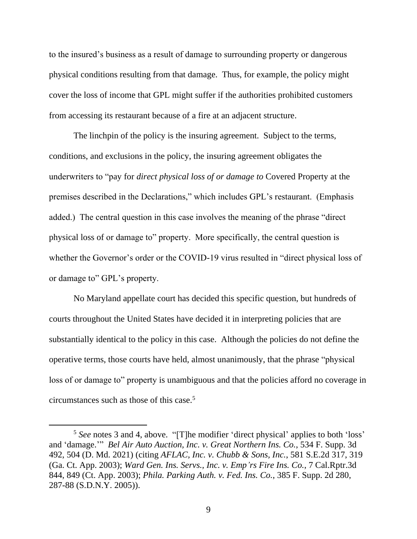to the insured's business as a result of damage to surrounding property or dangerous physical conditions resulting from that damage. Thus, for example, the policy might cover the loss of income that GPL might suffer if the authorities prohibited customers from accessing its restaurant because of a fire at an adjacent structure.

The linchpin of the policy is the insuring agreement. Subject to the terms, conditions, and exclusions in the policy, the insuring agreement obligates the underwriters to "pay for *direct physical loss of or damage to* Covered Property at the premises described in the Declarations," which includes GPL's restaurant. (Emphasis added.) The central question in this case involves the meaning of the phrase "direct physical loss of or damage to" property. More specifically, the central question is whether the Governor's order or the COVID-19 virus resulted in "direct physical loss of or damage to" GPL's property.

No Maryland appellate court has decided this specific question, but hundreds of courts throughout the United States have decided it in interpreting policies that are substantially identical to the policy in this case. Although the policies do not define the operative terms, those courts have held, almost unanimously, that the phrase "physical loss of or damage to" property is unambiguous and that the policies afford no coverage in circumstances such as those of this case.<sup>5</sup>

<sup>5</sup> *See* notes 3 and 4, above. "[T]he modifier 'direct physical' applies to both 'loss' and 'damage.'" *Bel Air Auto Auction, Inc. v. Great Northern Ins. Co.*, 534 F. Supp. 3d 492, 504 (D. Md. 2021) (citing *AFLAC, Inc. v. Chubb & Sons, Inc.*, 581 S.E.2d 317, 319 (Ga. Ct. App. 2003); *Ward Gen. Ins. Servs., Inc. v. Emp'rs Fire Ins. Co.*, 7 Cal.Rptr.3d 844, 849 (Ct. App. 2003); *Phila. Parking Auth. v. Fed. Ins. Co.*, 385 F. Supp. 2d 280, 287-88 (S.D.N.Y. 2005)).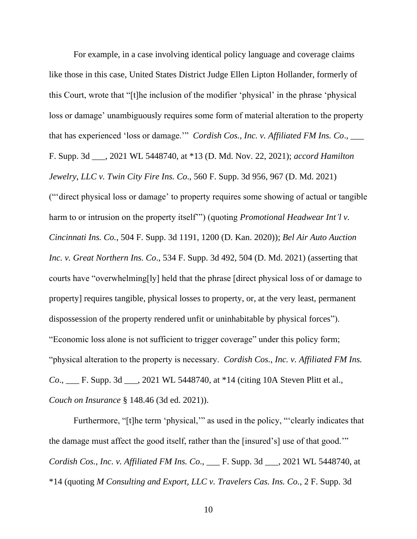For example, in a case involving identical policy language and coverage claims like those in this case, United States District Judge Ellen Lipton Hollander, formerly of this Court, wrote that "[t]he inclusion of the modifier 'physical' in the phrase 'physical loss or damage' unambiguously requires some form of material alteration to the property that has experienced 'loss or damage.'" *Cordish Cos., Inc. v. Affiliated FM Ins. Co*., \_\_\_ F. Supp. 3d \_\_\_, 2021 WL 5448740, at \*13 (D. Md. Nov. 22, 2021); *accord Hamilton Jewelry, LLC v. Twin City Fire Ins. Co*., 560 F. Supp. 3d 956, 967 (D. Md. 2021) ("'direct physical loss or damage' to property requires some showing of actual or tangible harm to or intrusion on the property itself'") (quoting *Promotional Headwear Int'l v. Cincinnati Ins. Co.*, 504 F. Supp. 3d 1191, 1200 (D. Kan. 2020)); *Bel Air Auto Auction Inc. v. Great Northern Ins. Co*., 534 F. Supp. 3d 492, 504 (D. Md. 2021) (asserting that courts have "overwhelming[ly] held that the phrase [direct physical loss of or damage to property] requires tangible, physical losses to property, or, at the very least, permanent dispossession of the property rendered unfit or uninhabitable by physical forces"). "Economic loss alone is not sufficient to trigger coverage" under this policy form; "physical alteration to the property is necessary. *Cordish Cos., Inc. v. Affiliated FM Ins. Co*., \_\_\_ F. Supp. 3d \_\_\_, 2021 WL 5448740, at \*14 (citing 10A Steven Plitt et al., *Couch on Insurance* § 148.46 (3d ed. 2021)).

Furthermore, "[t]he term 'physical," as used in the policy, "'clearly indicates that the damage must affect the good itself, rather than the [insured's] use of that good.'" *Cordish Cos., Inc. v. Affiliated FM Ins. Co*., \_\_\_ F. Supp. 3d \_\_\_, 2021 WL 5448740, at \*14 (quoting *M Consulting and Export, LLC v. Travelers Cas. Ins. Co.*, 2 F. Supp. 3d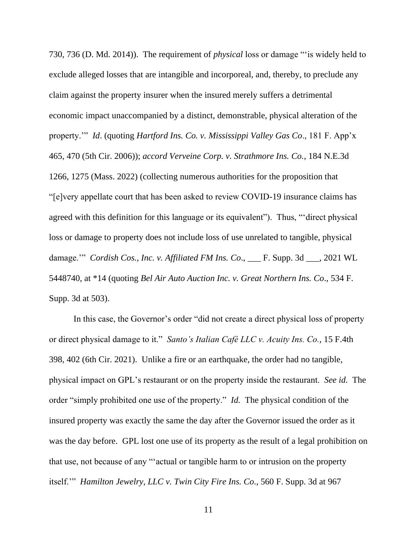730, 736 (D. Md. 2014)). The requirement of *physical* loss or damage "'is widely held to exclude alleged losses that are intangible and incorporeal, and, thereby, to preclude any claim against the property insurer when the insured merely suffers a detrimental economic impact unaccompanied by a distinct, demonstrable, physical alteration of the property.'" *Id*. (quoting *Hartford Ins. Co. v. Mississippi Valley Gas Co*., 181 F. App'x 465, 470 (5th Cir. 2006)); *accord Verveine Corp. v. Strathmore Ins. Co.*, 184 N.E.3d 1266, 1275 (Mass. 2022) (collecting numerous authorities for the proposition that "[e]very appellate court that has been asked to review COVID-19 insurance claims has agreed with this definition for this language or its equivalent"). Thus, "'direct physical loss or damage to property does not include loss of use unrelated to tangible, physical damage.'" *Cordish Cos., Inc. v. Affiliated FM Ins. Co*., \_\_\_ F. Supp. 3d \_\_\_, 2021 WL 5448740, at \*14 (quoting *Bel Air Auto Auction Inc. v. Great Northern Ins. Co*., 534 F. Supp. 3d at 503).

In this case, the Governor's order "did not create a direct physical loss of property or direct physical damage to it." *Santo's Italian Café LLC v. Acuity Ins. Co.*, 15 F.4th 398, 402 (6th Cir. 2021). Unlike a fire or an earthquake, the order had no tangible, physical impact on GPL's restaurant or on the property inside the restaurant. *See id.* The order "simply prohibited one use of the property." *Id.* The physical condition of the insured property was exactly the same the day after the Governor issued the order as it was the day before. GPL lost one use of its property as the result of a legal prohibition on that use, not because of any "'actual or tangible harm to or intrusion on the property itself.'" *Hamilton Jewelry, LLC v. Twin City Fire Ins. Co*., 560 F. Supp. 3d at 967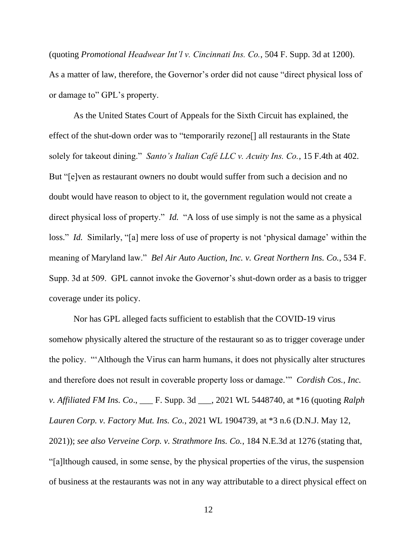(quoting *Promotional Headwear Int'l v. Cincinnati Ins. Co.*, 504 F. Supp. 3d at 1200). As a matter of law, therefore, the Governor's order did not cause "direct physical loss of or damage to" GPL's property.

As the United States Court of Appeals for the Sixth Circuit has explained, the effect of the shut-down order was to "temporarily rezone[] all restaurants in the State solely for takeout dining." *Santo's Italian Café LLC v. Acuity Ins. Co.*, 15 F.4th at 402. But "[e]ven as restaurant owners no doubt would suffer from such a decision and no doubt would have reason to object to it, the government regulation would not create a direct physical loss of property." *Id.* "A loss of use simply is not the same as a physical loss." *Id.* Similarly, "[a] mere loss of use of property is not 'physical damage' within the meaning of Maryland law." *Bel Air Auto Auction, Inc. v. Great Northern Ins. Co.*, 534 F. Supp. 3d at 509. GPL cannot invoke the Governor's shut-down order as a basis to trigger coverage under its policy.

Nor has GPL alleged facts sufficient to establish that the COVID-19 virus somehow physically altered the structure of the restaurant so as to trigger coverage under the policy. "'Although the Virus can harm humans, it does not physically alter structures and therefore does not result in coverable property loss or damage.'" *Cordish Cos., Inc. v. Affiliated FM Ins. Co*., \_\_\_ F. Supp. 3d \_\_\_, 2021 WL 5448740, at \*16 (quoting *Ralph Lauren Corp. v. Factory Mut. Ins. Co.*, 2021 WL 1904739, at \*3 n.6 (D.N.J. May 12, 2021)); *see also Verveine Corp. v. Strathmore Ins. Co.*, 184 N.E.3d at 1276 (stating that, "[a]lthough caused, in some sense, by the physical properties of the virus, the suspension of business at the restaurants was not in any way attributable to a direct physical effect on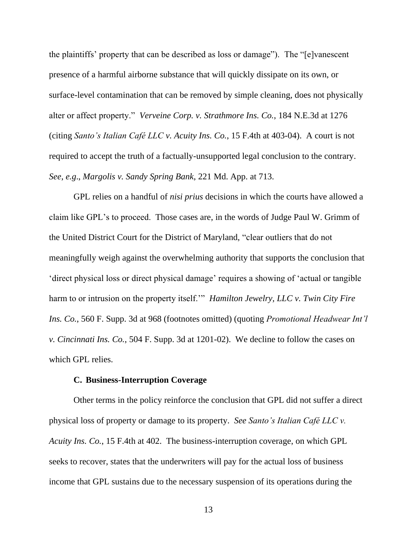the plaintiffs' property that can be described as loss or damage"). The "[e]vanescent presence of a harmful airborne substance that will quickly dissipate on its own, or surface-level contamination that can be removed by simple cleaning, does not physically alter or affect property." *Verveine Corp. v. Strathmore Ins. Co.*, 184 N.E.3d at 1276 (citing *Santo's Italian Café LLC v. Acuity Ins. Co.*, 15 F.4th at 403-04). A court is not required to accept the truth of a factually-unsupported legal conclusion to the contrary. *See*, *e.g*., *Margolis v. Sandy Spring Bank*, 221 Md. App. at 713.

GPL relies on a handful of *nisi prius* decisions in which the courts have allowed a claim like GPL's to proceed. Those cases are, in the words of Judge Paul W. Grimm of the United District Court for the District of Maryland, "clear outliers that do not meaningfully weigh against the overwhelming authority that supports the conclusion that 'direct physical loss or direct physical damage' requires a showing of 'actual or tangible harm to or intrusion on the property itself.'" *Hamilton Jewelry, LLC v. Twin City Fire Ins. Co.*, 560 F. Supp. 3d at 968 (footnotes omitted) (quoting *Promotional Headwear Int'l v. Cincinnati Ins. Co.*, 504 F. Supp. 3d at 1201-02). We decline to follow the cases on which GPL relies.

## **C. Business-Interruption Coverage**

Other terms in the policy reinforce the conclusion that GPL did not suffer a direct physical loss of property or damage to its property. *See Santo's Italian Café LLC v. Acuity Ins. Co.*, 15 F.4th at 402. The business-interruption coverage, on which GPL seeks to recover, states that the underwriters will pay for the actual loss of business income that GPL sustains due to the necessary suspension of its operations during the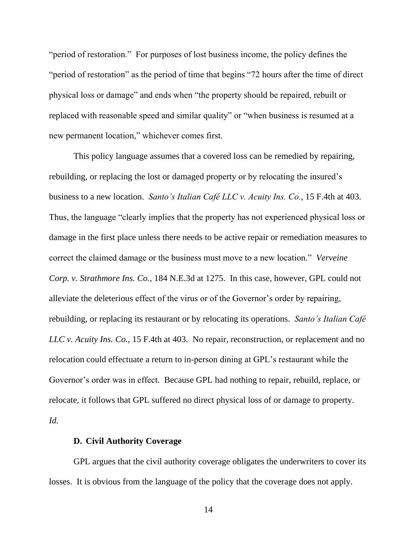"period of restoration." For purposes of lost business income, the policy defines the "period of restoration" as the period of time that begins "72 hours after the time of direct physical loss or damage" and ends when "the property should be repaired, rebuilt or replaced with reasonable speed and similar quality" or "when business is resumed at a new permanent location," whichever comes first.

This policy language assumes that a covered loss can be remedied by repairing, rebuilding, or replacing the lost or damaged property or by relocating the insured's business to a new location. *Santo's Italian Café LLC v. Acuity Ins. Co.*, 15 F.4th at 403. Thus, the language "clearly implies that the property has not experienced physical loss or damage in the first place unless there needs to be active repair or remediation measures to correct the claimed damage or the business must move to a new location." *Verveine Corp. v. Strathmore Ins. Co.*, 184 N.E.3d at 1275. In this case, however, GPL could not alleviate the deleterious effect of the virus or of the Governor's order by repairing, rebuilding, or replacing its restaurant or by relocating its operations. *Santo's Italian Café LLC v. Acuity Ins. Co.*, 15 F.4th at 403. No repair, reconstruction, or replacement and no relocation could effectuate a return to in-person dining at GPL's restaurant while the Governor's order was in effect.Because GPL had nothing to repair, rebuild, replace, or relocate, it follows that GPL suffered no direct physical loss of or damage to property. *Id.*

#### **D. Civil Authority Coverage**

GPL argues that the civil authority coverage obligates the underwriters to cover its losses. It is obvious from the language of the policy that the coverage does not apply.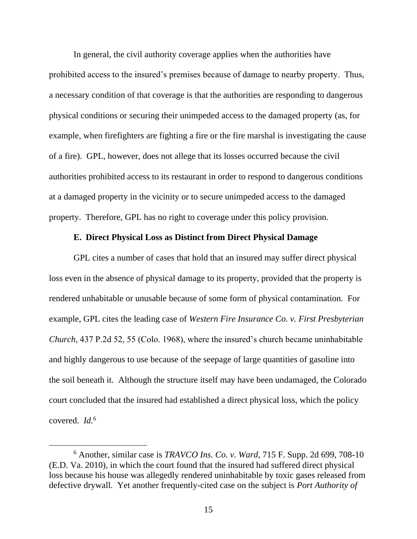In general, the civil authority coverage applies when the authorities have prohibited access to the insured's premises because of damage to nearby property. Thus, a necessary condition of that coverage is that the authorities are responding to dangerous physical conditions or securing their unimpeded access to the damaged property (as, for example, when firefighters are fighting a fire or the fire marshal is investigating the cause of a fire). GPL, however, does not allege that its losses occurred because the civil authorities prohibited access to its restaurant in order to respond to dangerous conditions at a damaged property in the vicinity or to secure unimpeded access to the damaged property. Therefore, GPL has no right to coverage under this policy provision.

## **E. Direct Physical Loss as Distinct from Direct Physical Damage**

GPL cites a number of cases that hold that an insured may suffer direct physical loss even in the absence of physical damage to its property, provided that the property is rendered unhabitable or unusable because of some form of physical contamination. For example, GPL cites the leading case of *Western Fire Insurance Co. v. First Presbyterian Church*, 437 P.2d 52, 55 (Colo. 1968), where the insured's church became uninhabitable and highly dangerous to use because of the seepage of large quantities of gasoline into the soil beneath it. Although the structure itself may have been undamaged, the Colorado court concluded that the insured had established a direct physical loss, which the policy covered. *Id.*<sup>6</sup>

<sup>6</sup> Another, similar case is *TRAVCO Ins. Co. v. Ward*, 715 F. Supp. 2d 699, 708-10 (E.D. Va. 2010), in which the court found that the insured had suffered direct physical loss because his house was allegedly rendered uninhabitable by toxic gases released from defective drywall. Yet another frequently-cited case on the subject is *Port Authority of*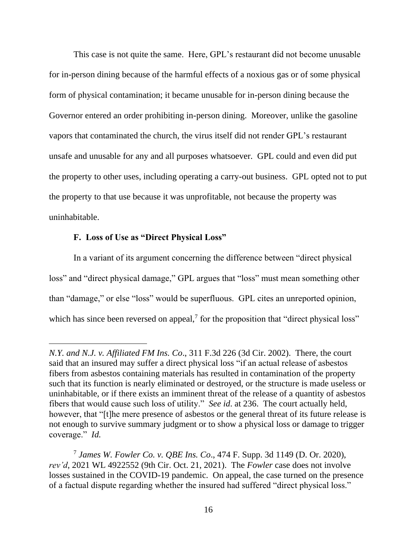This case is not quite the same. Here, GPL's restaurant did not become unusable for in-person dining because of the harmful effects of a noxious gas or of some physical form of physical contamination; it became unusable for in-person dining because the Governor entered an order prohibiting in-person dining. Moreover, unlike the gasoline vapors that contaminated the church, the virus itself did not render GPL's restaurant unsafe and unusable for any and all purposes whatsoever. GPL could and even did put the property to other uses, including operating a carry-out business. GPL opted not to put the property to that use because it was unprofitable, not because the property was uninhabitable.

### **F. Loss of Use as "Direct Physical Loss"**

In a variant of its argument concerning the difference between "direct physical loss" and "direct physical damage," GPL argues that "loss" must mean something other than "damage," or else "loss" would be superfluous. GPL cites an unreported opinion, which has since been reversed on appeal, $\frac{7}{7}$  for the proposition that "direct physical loss"

*N.Y. and N.J. v. Affiliated FM Ins. Co*., 311 F.3d 226 (3d Cir. 2002). There, the court said that an insured may suffer a direct physical loss "if an actual release of asbestos fibers from asbestos containing materials has resulted in contamination of the property such that its function is nearly eliminated or destroyed, or the structure is made useless or uninhabitable, or if there exists an imminent threat of the release of a quantity of asbestos fibers that would cause such loss of utility." *See id*. at 236. The court actually held, however, that "[t]he mere presence of asbestos or the general threat of its future release is not enough to survive summary judgment or to show a physical loss or damage to trigger coverage." *Id.*

<sup>7</sup> *James W. Fowler Co. v. QBE Ins. Co*., 474 F. Supp. 3d 1149 (D. Or. 2020), *rev'd*, 2021 WL 4922552 (9th Cir. Oct. 21, 2021). The *Fowler* case does not involve losses sustained in the COVID-19 pandemic. On appeal, the case turned on the presence of a factual dispute regarding whether the insured had suffered "direct physical loss."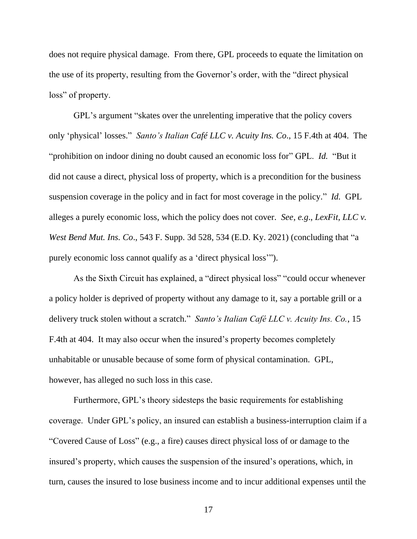does not require physical damage. From there, GPL proceeds to equate the limitation on the use of its property, resulting from the Governor's order, with the "direct physical loss" of property.

GPL's argument "skates over the unrelenting imperative that the policy covers only 'physical' losses." *Santo's Italian Café LLC v. Acuity Ins. Co*., 15 F.4th at 404. The "prohibition on indoor dining no doubt caused an economic loss for" GPL. *Id.* "But it did not cause a direct, physical loss of property, which is a precondition for the business suspension coverage in the policy and in fact for most coverage in the policy." *Id.* GPL alleges a purely economic loss, which the policy does not cover. *See*, *e.g*., *LexFit, LLC v. West Bend Mut. Ins. Co*., 543 F. Supp. 3d 528, 534 (E.D. Ky. 2021) (concluding that "a purely economic loss cannot qualify as a 'direct physical loss'").

As the Sixth Circuit has explained, a "direct physical loss" "could occur whenever a policy holder is deprived of property without any damage to it, say a portable grill or a delivery truck stolen without a scratch." *Santo's Italian Café LLC v. Acuity Ins. Co.*, 15 F.4th at 404. It may also occur when the insured's property becomes completely unhabitable or unusable because of some form of physical contamination. GPL, however, has alleged no such loss in this case.

Furthermore, GPL's theory sidesteps the basic requirements for establishing coverage. Under GPL's policy, an insured can establish a business-interruption claim if a "Covered Cause of Loss" (e.g., a fire) causes direct physical loss of or damage to the insured's property, which causes the suspension of the insured's operations, which, in turn, causes the insured to lose business income and to incur additional expenses until the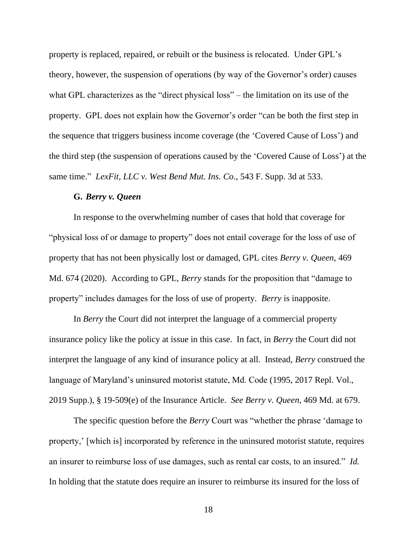property is replaced, repaired, or rebuilt or the business is relocated. Under GPL's theory, however, the suspension of operations (by way of the Governor's order) causes what GPL characterizes as the "direct physical loss" – the limitation on its use of the property. GPL does not explain how the Governor's order "can be both the first step in the sequence that triggers business income coverage (the 'Covered Cause of Loss') and the third step (the suspension of operations caused by the 'Covered Cause of Loss') at the same time." *LexFit, LLC v. West Bend Mut. Ins. Co*., 543 F. Supp. 3d at 533.

### **G.** *Berry v. Queen*

In response to the overwhelming number of cases that hold that coverage for "physical loss of or damage to property" does not entail coverage for the loss of use of property that has not been physically lost or damaged, GPL cites *Berry v. Queen*, 469 Md. 674 (2020). According to GPL, *Berry* stands for the proposition that "damage to property" includes damages for the loss of use of property. *Berry* is inapposite.

In *Berry* the Court did not interpret the language of a commercial property insurance policy like the policy at issue in this case. In fact, in *Berry* the Court did not interpret the language of any kind of insurance policy at all. Instead, *Berry* construed the language of Maryland's uninsured motorist statute, Md. Code (1995, 2017 Repl. Vol., 2019 Supp.), § 19-509(e) of the Insurance Article. *See Berry v. Queen*, 469 Md. at 679.

The specific question before the *Berry* Court was "whether the phrase 'damage to property,' [which is] incorporated by reference in the uninsured motorist statute, requires an insurer to reimburse loss of use damages, such as rental car costs, to an insured." *Id.* In holding that the statute does require an insurer to reimburse its insured for the loss of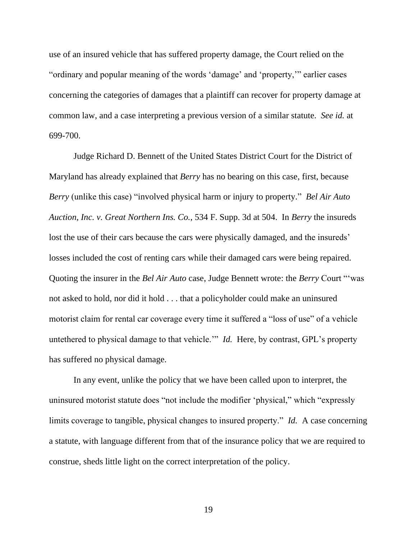use of an insured vehicle that has suffered property damage, the Court relied on the "ordinary and popular meaning of the words 'damage' and 'property,'" earlier cases concerning the categories of damages that a plaintiff can recover for property damage at common law, and a case interpreting a previous version of a similar statute. *See id.* at 699-700.

Judge Richard D. Bennett of the United States District Court for the District of Maryland has already explained that *Berry* has no bearing on this case, first, because *Berry* (unlike this case) "involved physical harm or injury to property." *Bel Air Auto Auction, Inc. v. Great Northern Ins. Co.*, 534 F. Supp. 3d at 504. In *Berry* the insureds lost the use of their cars because the cars were physically damaged, and the insureds' losses included the cost of renting cars while their damaged cars were being repaired. Quoting the insurer in the *Bel Air Auto* case, Judge Bennett wrote: the *Berry* Court "'was not asked to hold, nor did it hold . . . that a policyholder could make an uninsured motorist claim for rental car coverage every time it suffered a "loss of use" of a vehicle untethered to physical damage to that vehicle.'" *Id.* Here, by contrast, GPL's property has suffered no physical damage.

In any event, unlike the policy that we have been called upon to interpret, the uninsured motorist statute does "not include the modifier 'physical," which "expressly limits coverage to tangible, physical changes to insured property." *Id.* A case concerning a statute, with language different from that of the insurance policy that we are required to construe, sheds little light on the correct interpretation of the policy.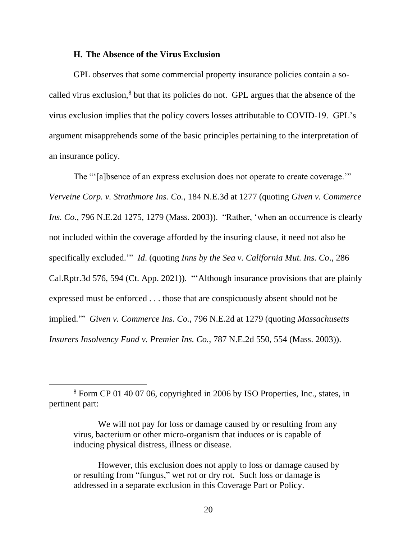#### **H. The Absence of the Virus Exclusion**

GPL observes that some commercial property insurance policies contain a socalled virus exclusion,<sup>8</sup> but that its policies do not. GPL argues that the absence of the virus exclusion implies that the policy covers losses attributable to COVID-19. GPL's argument misapprehends some of the basic principles pertaining to the interpretation of an insurance policy.

The "'[a]bsence of an express exclusion does not operate to create coverage.'" *Verveine Corp. v. Strathmore Ins. Co.*, 184 N.E.3d at 1277 (quoting *Given v. Commerce Ins. Co.*, 796 N.E.2d 1275, 1279 (Mass. 2003)). "Rather, 'when an occurrence is clearly not included within the coverage afforded by the insuring clause, it need not also be specifically excluded.'" *Id*. (quoting *Inns by the Sea v. California Mut. Ins. Co*., 286 Cal.Rptr.3d 576, 594 (Ct. App. 2021)). "'Although insurance provisions that are plainly expressed must be enforced . . . those that are conspicuously absent should not be implied.'" *Given v. Commerce Ins. Co.*, 796 N.E.2d at 1279 (quoting *Massachusetts Insurers Insolvency Fund v. Premier Ins. Co.*, 787 N.E.2d 550, 554 (Mass. 2003)).

<sup>8</sup> Form CP 01 40 07 06, copyrighted in 2006 by ISO Properties, Inc., states, in pertinent part:

We will not pay for loss or damage caused by or resulting from any virus, bacterium or other micro-organism that induces or is capable of inducing physical distress, illness or disease.

However, this exclusion does not apply to loss or damage caused by or resulting from "fungus," wet rot or dry rot. Such loss or damage is addressed in a separate exclusion in this Coverage Part or Policy.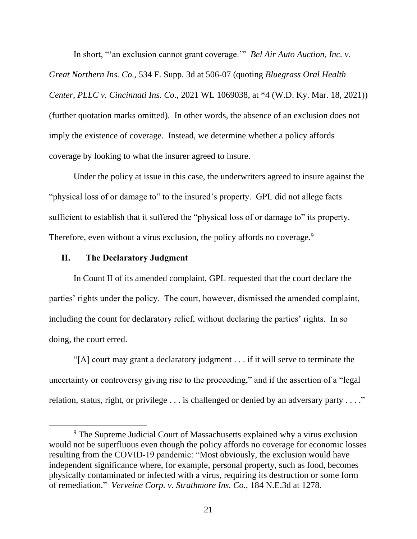In short, "'an exclusion cannot grant coverage.'" *Bel Air Auto Auction, Inc. v. Great Northern Ins. Co.*, 534 F. Supp. 3d at 506-07 (quoting *Bluegrass Oral Health Center, PLLC v. Cincinnati Ins. Co*., 2021 WL 1069038, at \*4 (W.D. Ky. Mar. 18, 2021)) (further quotation marks omitted). In other words, the absence of an exclusion does not imply the existence of coverage. Instead, we determine whether a policy affords coverage by looking to what the insurer agreed to insure.

Under the policy at issue in this case, the underwriters agreed to insure against the "physical loss of or damage to" to the insured's property. GPL did not allege facts sufficient to establish that it suffered the "physical loss of or damage to" its property. Therefore, even without a virus exclusion, the policy affords no coverage.<sup>9</sup>

## **II. The Declaratory Judgment**

In Count II of its amended complaint, GPL requested that the court declare the parties' rights under the policy. The court, however, dismissed the amended complaint, including the count for declaratory relief, without declaring the parties' rights. In so doing, the court erred.

"[A] court may grant a declaratory judgment . . . if it will serve to terminate the uncertainty or controversy giving rise to the proceeding," and if the assertion of a "legal relation, status, right, or privilege . . . is challenged or denied by an adversary party . . . ."

<sup>&</sup>lt;sup>9</sup> The Supreme Judicial Court of Massachusetts explained why a virus exclusion would not be superfluous even though the policy affords no coverage for economic losses resulting from the COVID-19 pandemic: "Most obviously, the exclusion would have independent significance where, for example, personal property, such as food, becomes physically contaminated or infected with a virus, requiring its destruction or some form of remediation." *Verveine Corp. v. Strathmore Ins. Co.*, 184 N.E.3d at 1278.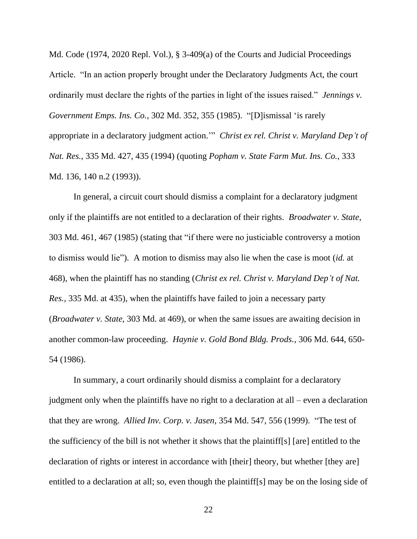Md. Code (1974, 2020 Repl. Vol.), § 3-409(a) of the Courts and Judicial Proceedings Article. "In an action properly brought under the Declaratory Judgments Act, the court ordinarily must declare the rights of the parties in light of the issues raised." *Jennings v. Government Emps. Ins. Co.*, 302 Md. 352, 355 (1985). "[D]ismissal 'is rarely appropriate in a declaratory judgment action.'" *Christ ex rel. Christ v. Maryland Dep't of Nat. Res.*, 335 Md. 427, 435 (1994) (quoting *Popham v. State Farm Mut. Ins. Co.*, 333 Md. 136, 140 n.2 (1993)).

In general, a circuit court should dismiss a complaint for a declaratory judgment only if the plaintiffs are not entitled to a declaration of their rights. *Broadwater v. State*, 303 Md. 461, 467 (1985) (stating that "if there were no justiciable controversy a motion to dismiss would lie"). A motion to dismiss may also lie when the case is moot (*id.* at 468), when the plaintiff has no standing (*Christ ex rel. Christ v. Maryland Dep't of Nat. Res.*, 335 Md. at 435), when the plaintiffs have failed to join a necessary party (*Broadwater v. State*, 303 Md. at 469), or when the same issues are awaiting decision in another common-law proceeding. *Haynie v. Gold Bond Bldg. Prods.*, 306 Md. 644, 650- 54 (1986).

In summary, a court ordinarily should dismiss a complaint for a declaratory judgment only when the plaintiffs have no right to a declaration at all – even a declaration that they are wrong. *Allied Inv. Corp. v. Jasen*, 354 Md. 547, 556 (1999). "The test of the sufficiency of the bill is not whether it shows that the plaintiff[s] [are] entitled to the declaration of rights or interest in accordance with [their] theory, but whether [they are] entitled to a declaration at all; so, even though the plaintiff[s] may be on the losing side of